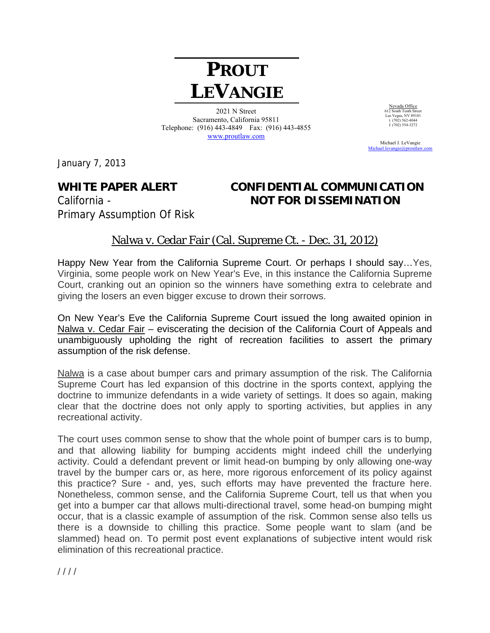# **PROUT LEVANGIE**

2021 N Street Sacramento, California 95811 Telephone: (916) 443-4849 Fax: (916) 443-4855 www.proutlaw.com

Nevada Office 612 South Tenth Street Las Vegas, NV 89101 t. (702) 562-4044 f.  $(702)$  554-3272

 Michael J. LeVangie Michael.levangie@proutlaw

January 7, 2013

Primary Assumption Of Risk

## **WHITE PAPER ALERT CONFIDENTIAL COMMUNICATION**  California - **NOT FOR DISSEMINATION**

### Nalwa v. Cedar Fair (Cal. Supreme Ct. - Dec. 31, 2012)

Happy New Year from the California Supreme Court. Or perhaps I should say…Yes, Virginia, some people work on New Year's Eve, in this instance the California Supreme Court, cranking out an opinion so the winners have something extra to celebrate and giving the losers an even bigger excuse to drown their sorrows.

On New Year's Eve the California Supreme Court issued the long awaited opinion in Nalwa v. Cedar Fair – eviscerating the decision of the California Court of Appeals and unambiguously upholding the right of recreation facilities to assert the primary assumption of the risk defense.

Nalwa is a case about bumper cars and primary assumption of the risk. The California Supreme Court has led expansion of this doctrine in the sports context, applying the doctrine to immunize defendants in a wide variety of settings. It does so again, making clear that the doctrine does not only apply to sporting activities, but applies in any recreational activity.

The court uses common sense to show that the whole point of bumper cars is to bump, and that allowing liability for bumping accidents might indeed chill the underlying activity. Could a defendant prevent or limit head-on bumping by only allowing one-way travel by the bumper cars or, as here, more rigorous enforcement of its policy against this practice? Sure - and, yes, such efforts may have prevented the fracture here. Nonetheless, common sense, and the California Supreme Court, tell us that when you get into a bumper car that allows multi-directional travel, some head-on bumping might occur, that is a classic example of assumption of the risk. Common sense also tells us there is a downside to chilling this practice. Some people want to slam (and be slammed) head on. To permit post event explanations of subjective intent would risk elimination of this recreational practice.

 $1111$